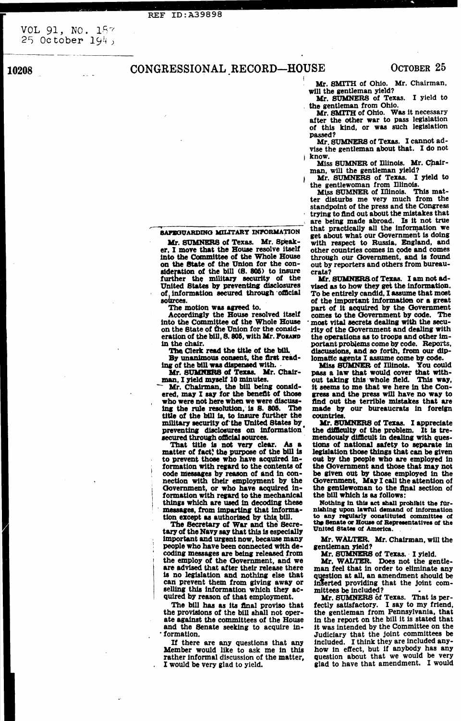**REF ID:A39898** 

VOL 91, NO. 187 25 October  $194$ ,

**10208** 

# CONGRESSIONAL RECORD-HOUSE

Mr. SMITH of Ohio. Mr. Chairman, will the gentleman yield?

Mr. SUMNERS of Texas. I yield to the gentleman from Ohio.

Mr. SMITH of Ohio. Was it necessary after the other war to pass legislation of this kind, or was such legislation passed?

Mr. SUMNERS of Texas. I cannot advise the gentleman about that. I do not **know.** 

Miss SUMNER of Illinois. Mr. Chairman, will the gentleman yield?

Mr. SUMNERS of Texas. I yield to the gentlewoman from Illinois.

Miss SUMNER of Illinois. This matter disturbs me very much from the standpoint of the press and the Congress trying to find out about the mistakes that are being made abroad. Is it not true that practically all the information we get about what our Government is doing with respect to Russia, England, and other countries comes in code and comes through our Government, and is found out by reporters and others from bureaucrats?

Mr. SUMNERS of Texas. I am not advised as to how they get the information. To be entirely candid, I assume that most of the important information or a great part of it acquired by the Government comes to the Government by code. The most vital secrets dealing with the security of the Government and dealing with the operations as to troops and other important problems come by code. Reports, discussions, and so forth, from our diplomatic agents I assume come by code.

**Miss SUMNER of Illinois. You could** pass a law that would cover that without taking this whole field. This way, it seems to me that we here in the Congress and the press will have no way to find out the terrible mistakes that are made by our bureaucrats in foreign countries.

Mr. SUMNERS of Texas. I appreciate the difficulty of the problem. It is tremendously difficult in dealing with questions of national safety to separate in legislation those things that can be given out by the people who are employed in the Government and those that may not be given out by those employed in the Government. May I call the attention of the gentlewoman to the final section of the bill which is as follows:

Nothing in this act shall prohibit the furnishing upon lawful demand of information to any regularly constituted committee of the Senate or House of Representatives of the United States of America

### SAFEGUARDING MILITARY INFORMATION

Mr. SUMNERS of Texas. Mr. Speaker, I move that the House resolve itself into the Committee of the Whole House on the State of the Union for the consideration of the bill (S. 805) to insure further the military security of the United States by preventing disclosures of information secured through official sources.

The motion was agreed to.

Accordingly the House resolved itself into the Committee of the Whole House on the State of the Union for the consideration of the bill, S. 805, with Mr. Foramp in the chair.

The Clerk read the title of the bill.

By unanimous consent, the first reading of the bill was dispensed with.

Mr. SUMNERS of Texas. Mr. Chairman, I yield myself 10 minutes.

Mr. Chairman, the bill being considered, may I say for the benefit of those who were not here when we were discussing the rule resolution, is S. 805. The title of the bill is, to insure further the military security of the United States by preventing disclosures on information secured through official sources.

That title is not very clear. As a matter of fact, the purpose of the bill is to prevent those who have acquired information with regard to the contents of code messages by reason of and in connection with their employment by the Government, or who have acquired information with regard to the mechanical things which are used in decoding these messages, from imparting that information except as authorized by this bill.

The Secretary of War and the Secretary of the Navy say that this is especially important and urgent now, because many people who have been connected with decoding messages are being released from the employ of the Government, and we are advised that after their release there is no legislation and nothing else that can prevent them from giving away or selling this information which they acquired by reason of that employment.

The bill has as its final proviso that the provisions of the bill shall not operate against the committees of the House and the Senate seeking to acquire in-· formation.

If there are any questions that any Member would like to ask me in this rather informal discussion of the matter, I would be very glad to yield.

Mr. WALTER. Mr. Chairman, will the gentleman yield?

Mr. SUMNERS of Texas. I yield.

Mr. WALTER. Does not the gentleman feel that in order to eliminate any question at all, an amendment should be inserted providing that the joint committees be included?

Mr. SUMNERS of Texas. That is perfectly satisfactory. I say to my friend, the gentleman from Pennsylvania, that in the report on the bill it is stated that it was intended by the Committee on the Judiciary that the joint committees be included. I think they are included anyhow in effect, but if anybody has any question about that we would be very glad to have that amendment. I would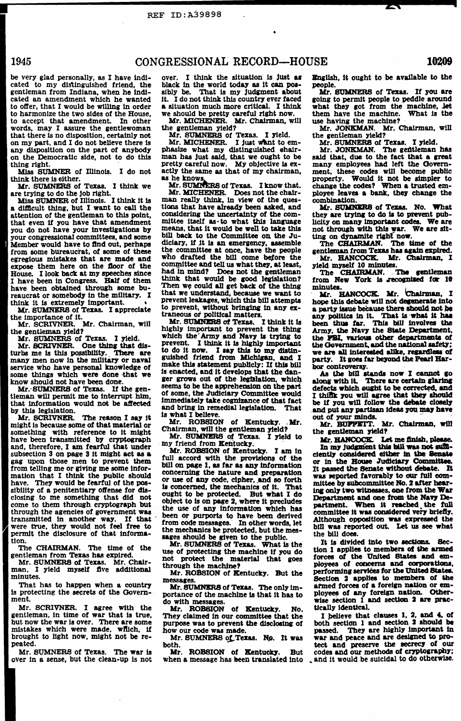•

be very glad personally, as I have indicated to my distinguished friend, the gentleman from Indiana, when he Indicated an amendment which he wanted to ofter, that I would be wtlllng In order to harmonize the two sides of the House, to accept that amendment. In other words, may I assure the gentlewoman that there is no disposition, certainly not on my part, and I do not believe there ts any disposition on the part of anybody on the Democratic side, not to do this

#### REF ID:A39898

## 1945 CONGRESSIONAL RECORD-HOUSE 10209

thing right.<br>Miss SUMNER of Illinois. I do not think there ls either.

Mr. SUMNERS of Texas. I think we are trying to do the Job right.

Miss SUMNER of Illinois. I think it is a difficult thing, but I want to call the attention of the gentleman to this point, that even if you have that amendment you do not have your Investigations by your congressional committees, and some Member would have to find out, perhaps from some bureaucrat, of some of these egregious mistakes that are made and expose them here on the floor of the House. I look back at my speeches since I have been 1n Congress. Half of them have been obtained through some bureaucrat or somebody In the military. I think it is extremely important.

Mr. SUMNERS of Texas. I appreciate the importance of it.

know should not have been done.<br>Mr. SUMNERS of Texas. If the gentleman will permit me to interrupt him, that information would not be affected by this legislation.

Mr. SCRIVNER. The reason I say it might Is because some of that material or something with reference to It might have been transmitted by cryptograph and, therefore, I am fearful that under subsection 3 on page 3 it might act as a gag upon those men to prevent them from telling me or giving me some information that I think the public should have. They would be fearful of the possibility of a penitentiary offense for disclosing to me something that did not come to them through cryptograph but through the agencies of government was transmitted in another way. If that were true, they would not feel free to

That has to happen when a country is protecting the secrets of the Govern-<br>ment.

Mr. SCRIVNER. Mr. Chairman, will the gentleman yield?

Mr. SUMNERS of Texas. I Yield.

Mr. SCRIVNER. One thing that disturbs me ls this posstbillty. There are many men now in the military or naval service who have personal knowledge of some things which were done ·that we over. I think the situation is just as black In the world today as It can possibly be. That is my judgment about It. I do not think this country ever faced a situation much more critical. I think we should be pretty careful right now.

Mr. SUMNERS of Texas. I know that. Mr. MICHENER. Does not the chairman really think, 1n view of the questions that have already been asked, and considering the uncertainty of the committee itself as-to what this language means, that It would be well to take thla bill back to the Committee on the Judiciary, if it is an emergency, assemble the committee at once, have the people who drafted the bill come before the committee and tell us what they, at least, had in mind? Does not the gentleman think that would be good legislation? Then we could all get back of the thing that we understand, because we want to prevent leakages, which this bill attempts to prevent, without bringing in any extraneous *ot* political matten.

Mr. SUMNERS of Texas. I think it is highly important to prevent the thing which the Army and Navy is trying to prevent. I think it is highly important to do it now. I say this to my distinguished friend from Michigan, and I make this statement publicly: If this bill is enacted, and it develops that the danger grows out of the legislation, which seems to be the apprehenslon on the part of some, the Judiciary Committee would Immediately tate cognizance of that fact and bring in remedial legislation. That ls what I believe.

Mr. ROBSION of Kentucky. .Mr. Chairman, will the gentleman yield?

Mr. SUMNERS of Texas. I yield to my friend from Kentucky.<br>Mr. ROBSION of Kentucky. I am in

permit the disclosure of that Information.

The CHAIRMAN. The time of the gentleman from Texas has expired.

Mr. SUMNERS of Texas. Mr. Chairman, I yield myself five additional minutes.

Mr. ROBsION of Kentucky. But the messages.

Mr. SCRIVNER. I agree With the gentleman, in time of war that Is true, but now the war is over. There are some mistakes which were made, wftich, 1f brought to light now, might not be repeated.

Mr. SUMNERS of Texas. The only importance of the machine ls that it has to do with messages.

Mr. SUMNERS of Texas. The war Is over in a sense, but the clean-up ls not

Mr. SUMNERS of Texas. No. It was both.

Mr. ROBSION of Kentucky. But

Mr. SOMNER8 of Texas. If you are going to permit people to peddle around what they got from the machine, Jet them have the machine. What is the use having the machine?

Mr. JONKMAN. Mr. Chairman, will the gentleman yield?

Mr. MICHENER. Mr. Chalrman, wlll

the gentleman yield?<br>Mr. SUMNERS of Texas. I yield.

Mr. MICHENER. I just want to emphasize what my distinguished ehairman has Just said, that we ought to be pretty careful now. My objective is exactly the same as that of my chairman, as he knows,

Mr. JONKMAN. The gentleman has said that, due to the fact that a great many employees had left the Government, these codes will become public property. Would It not be simpler to change the codes? When a trusted employee leaves a bank, they change the combination.

Mr. SUMNERS of Texas. No. What they are trying to do is to prevent publicity on many important codes. We are not through with this war. We are sitting on dynamite right now.

The CHAIRMAN. The time of the gentleman from Texas has again expired.

Mr. HANCOCK. Mr. Chairman, I yield myself 10 mlmltes.

The CHAIRMAN. The gentleman from New York is recognized for 10<br>minutes.  $minutes.$ 

· Mr. HANCOCK. Mr. Chairman, I hope this debate will not degenerate into a party issue because there should not be any politics in it. That is what it has been thus far. This bill involves the Army, the Navy the State Department, the PBI, various other departments of the Government, and the national safety;<br>we are all interested alike. regardless of we are all interested alike, regardless of<br>party. It goes far beyond the Pearl Har-<br>bor controversy.

As the bill stands now I cannot go along with it. There are certain glaring defects which ought to be corrected, and I think you will agree that they should<br>be if you will follow the debate closely and put any partisan ideas you may have out of your minds.

Mr. BUFFETT. Mr. Chairman, will the sentleman Jield?

Mr. HANCOCK. Let me finish, please.

In my judgment this bill was not sufficiently considered either in the Senate or in the House Judiciary Committee. It passed the Senate without debate. I& was reported favorably to our full committee by aubcommittee Ko. 2 after bearing only two witnesses, one from the War Department and one from the Navy Department. When it reached the full committee it was considered very briefly. Although opposition was expressed the bill was reported out. Let us see what

 $\Delta$ 

full accord with the provisions of the bill on page 1, as far as any Information concerning the nature and preparation or use of any code, cipher, and so forth ls concerned, the mechanics of It. That ought to be protected. But what I do object to Is on page 2, where lt precludes the use of any Information which has been or purports to have been derived from code messages. In other words, let the mechanics be protected, but the messages should be given to the public. Mr. SUMNERS of Texas. What ls the use of protecting the machine if you do not protect the material that goes through the machine?

Mr. ROBSION of Kentueky. No. They claimed In our committee that the purpose was to prevent the disclosing of how our code was made.

Bnallsh, It ought to be available to the people.

Mr. SUMNERS of Texas. I yield.

the bill does.

It ls divided Into two aedlona. Section 1 applles to members of the armed forces of the United Btatea and employees of concerns and corporations, performing services for the United States. Section 2 applies to members of the armed forces of a foreign nation or employees of any foreign nation. Otherwise section 1 and section 2 are practically identical.

Mr. ROBSION of Kentucky. But codes and our methods of cryptography;<br>when a message has been translated into , and it would be suicidal to do otherwise. I believe that clauses 1, 2, and 4, of both section 1 and section 2 should be passed. They are highly important in war and peace and are desisned *to* protect and preserve the secrecy of our codes and our methods of cryptography;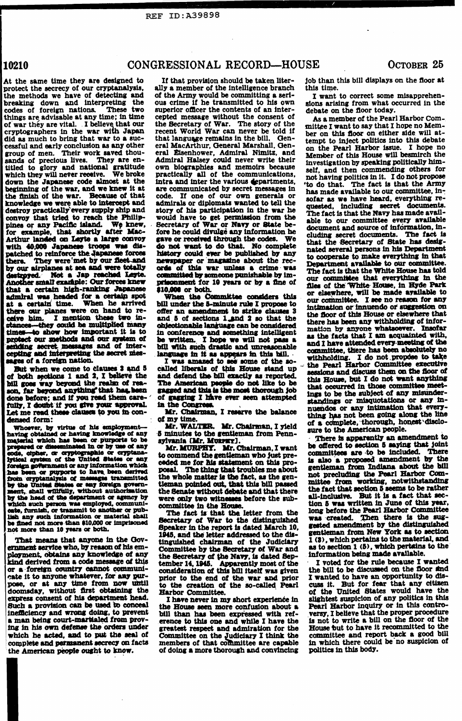## REF ID:A39898

## 10210 CONGRESSIONAL RECORD-HOUSE OCTOBER 25

superior officer the contents of an inter-<br>cepted message without the consent of  $\begin{array}{c} A_{\rm s, e}$  member of the Pear of the secretary of war. The story of the mittee I want to say that I hope no Mem-<br>recent World War can never be told if the matthe floor on either side will atpocarding or war or rivey or source  $D<sup>c</sup>$  document and source of information, in-<br>fore he could divulge any information he cluding secret documents. The fact is dis-<br>do not want to do that. No complete hated<br>roes history could ever be published by any has history could ever be published by any Leyte. committed by someone punishable by  $\lim_{\text{out}}$ .<br>knew prisonment for 10 years or by a fine of  $\lim_{\text{files}}$ .

# At the same time they are designed to If that provision should be taken liter- job than this bill displays on the floor at protect the secrecy of our cryptanalysis, ally a member of the intelligence branch this time. protect the secrecy of our cryptanalysis, ally a member of the intelligence branch this time.<br>the methods we have of detecting and of the Army would be committing a seri-<br>I want to correct some misapprehenbreaking down and interpreting the ous crime if he transmitted to his own sions arising from what occurred in the codes of foreign nations. These two superior officer the contents of an inter-<br>debate on the floor today. things are advisable at any time; in time cepted message without the consent of **As a member of the Pearl Harbor Com-**.<br>of war they are vital. I believe that our the Secretary of War. The story of the mittee I want to say cryptographers in the war with Japan recent World War can never be told if ber on this floor on either side will at-<br>did as much to bring that war to a suc-<br>consider a successive consider the state of the considered the co did as much to bring that war to a suc-<br>cessful and early conclusion as any other eral MacArthur, General Marshall, Gencessful and early conclusion as any other eral MacArthur, General Marshall, Gen- on the Pearl Harbor issue. I hope no<br>group of men. Their work saved thou- eral Eisenhower, Admiral Nimitz, and Member of this House will besm group of men. Their work saved thou- eral Eisenhower, Admiral Nimitz, and Member of this House will besmirch the<br>sands of precious lives. They are en- Admiral Halsey could never write their investigation by greating politi sands of precious lives. They are en-<br>titled to glory and national gratitude own biographies and memoirs because self and then commending others for titled to glory and national gratitude own biographies and memoirs because self, and then commending others for<br>which they will never receive. We broke practically all of the communications, not having politics in it. I do which they will never receive. We bruke practically all of the communications, not having politics in it. I do not propose<br>down the Japanese code almost at the intra and inter the various departments, "to do that. The fact the finish of the war. Because of that code. If one of our own generals or sofar as we have heard, everything re-<br>knowledge we were able to intercept and admirals or diplomats wanted to tell the guarded including secret do knowledge we were able to intercept and admirals or diplomats wanted to tell the quested, including secret documents.<br>destroy practically every supply ship and story of his participation in the war he grands that the New h destroy practically every supply ship and story of his participation in the war he The fact is that the Navy has made avail-<br>convoy that tried to reach the Philip- would have to get permission from the ship to give committ convoy that tried to reach the Finite- would have to get permission from the able to our committee every available<br>pines or any Pacific island. We knew, Secretary of War or Navy or State befor example, that shortly after Mac- fore he could divulge any information he Arthur landed on Layte a large convoy gave or received through the codes. We Arthur landed on Leyte a large convoy gave or received through the codes. We that the Secretary of State has desigwith 40,000 Japanese troops was<br>natched to reinforce the Jananese fo destroyed. Not a Jap reached **l**<br>Another small example: Our forces Not a Jap reached Leyte. that a certain high-ranking Japanese •10,000 or both.<br>admiral was headed for a certain spot • When the Committee considers this • . our committee it are no reagon for any at a certain time. When he arrived bill under the 5-minute considers this our committee. I see no reason for any<br>there our planes were on hand to re-<br>ceive him. I mention these two in-<br>and 5 of sections 1 and 2 so that the there they could be multiplied many<br>times—to show how important it is to in conference and something intelligent<br>protect our methods and our system of the written. I hope we will not pass a and theme attended many mention our ..uaodl and our ~ ot INt written. 1 hope we will not .,.\_ a u the ·tacts that I am acqnaJnted with, - wi& .m•aaes and of Inter.. wn 'ttlth \_;cb druUc and \_\_\_\_\_\_ ,..,\_ and l have attendecl eve17-meetilns of the

Let me read these clauses to you in con- latt. Chair densed form:  $\alpha$  ny time.

Whosver, by virtue of his employment-<br>
Mr. WALTER. Mr. Chairman, I yield sure to the American people.<br>
Inaving obtained or having knowledge of any 5 minutes to the gentleman from Penn-<br>
material which has been or purports prepared or disseminated in or by use of any<br>exists and the Comment of MCUON of MCUON II. ALCOMONY MCCUON I want the MCCUON IS and the United. There<br>iyikel system of the United States or any eached me for his statement on having obtained or having knowledge of any 5 minutes to the gentleman from Penn-<br>
inaterial which has been or purports to be sylvania [Mr. MURPHY. Mr. Chairman, I want be offered to section 5 sangung that joint<br>
speered or by the United States or any foreign govern-<br>ment, shall willfully, without authorization<br>by the head of the department or agency by<br>were only two witnesses before the sub-<br>which such person was employed, communi-<br>committee which such person was employed, communi-<br>committee in the House.<br>that the latter from the long before the Pearl Harbor Committee eate, furnish, or transmit to another or pub-<br>lish any such information or material shall<br>he fined not more than \$10,000 or imprisoned. Secretary of War to the distinguished was created. Then there is the sugush any such information or material shall Secretary of War to the distinguished was created. Then there is the sug-<br>be fined not more than \$10,000 or imprisoned Secretary of War to the distinguished was created amendment That means that anyone in the GOV-<br>ernment service who, by reason of his em-<br>Committee by the Secretary of War and as to section 1  $(5)$ , which pertains to the<br>ployment, obtains any knowledge of any<br>the Secretary of the N ployment, obtains any knowledge of any the Secretary of the Navy, is dated Sep-<br>kind derived from a code message of this tember 14, 1945. Apparently most of the Twoted for the rule because I wanted<br>or a foreign country can or a-foreign country cannot communi-<br>cate it to anyone whatever, for any pur-<br>prior to the end of the war and prior I wanted to have an opportunity to discate it to anyone whatever, for any pur-<br>pose, or at any time from now until to the creation of the so-called Pearl cuss it. But for fear that any citizen doomsday, without first obtaining the Barbor Committee.<br>express consent of his department head. I have never in m express consent of his department head. I have never in my short experience in slightest suspicion of any politics in this Such a provision can be used to conceal the House seen more confusion about a Pearl Harbor inquiry Such a provision can be used to conceal the House seen more confusion about a inefficiency and wrong doing, to prevent bill than has been expressed with refinefficiency and wrong doing, to prevent bill than has been expressed with ref- versy. I believe that the proper procedure a man being court-martialed from prov- erence to this one and while I have the is not to write a bi a man being court-martialed from prov-<br>ing in his own defense the orders under<br>greatest respect and admiration for the<br>House but to have it recommitted to the

deneect form: · of!:! !~~·....a ~- ,.... ... 1\_\_ 1 ...... 1

not more-than success or both. Speaker in the report is dated March 10. Sested amendment by the distinguished more than 10 years or both.  $\frac{1945}{1945}$ , and the letter addressed to the dis-<br>That means that anyone in the Gov-<br>tinguished chairman of the Judiciary  $\frac{1}{3}$ , which pertains to the material, and to the creation of the so-called Pearl cuss it. But for fear that any citizen Harbor Committee.<br>
of the United States would have the ing in his own defense the orders under greatest respect and admiration for the House but to have it recommitted to the which he acted, and to put the seal of Committee on the Judiciary I think the committee and report bac which he acted, and to put the seal of Committee on the Judiciary I think the committee and report back a good bill<br>complete and permanent secrecy on facts members of that committee are capable in which there could be no s the American people ought to know. of doing a more thorough and convincing

nated several persons in his Department<br>to cooperate to make everything in that Arthur landed on Leyte a large convoy gave or received through the codes. We that the Secretary of State has desig-<br>with 40,000 Japanese troops was dis-<br>patched to reinforce the Japanese forces history could ever be publis lable to our committee. The fact is that the White House has told<br>our committee that everything in the<br>files of the White-House, in Hyde Park there our planes were on hand to re-<br>celve him. I mention these two in-<br>educes—they could be multiplied many objectionable language can be considered there has been any withholding of infor-<br>educes—they could be multiplied exises—chey cours as inutugated many concerning intention in conference and something intelligent in acquainted with,<br>protect our methods and our system of the written. I hope we will not pass a seen facts that I am acquai bill with such drastic and unreasonable<br>language in it as appears in this hill.<br>I was amazed to see accumulate that is the set of the set of the set of the set of the set of the set of the set But when we come to clauses 3 and 5 called liberals of this House stand up - the Pearl Harbor Committee executive<br>of both sections 1 and 2, I believe the and defend the bill exactly as reported. This House heat I do not wa sages of a foreign nation. I was amazed to see some of the so-<br>But when we come to clauses 3 and 5 called liberals of this House stand up the Pearl Harbor Committee executive<br>of both sections 1 and 2, I believe the and def I. and a real of the Soil of realm of rea-<br>including the realm of rea-<br>I. far beyond anything that has been gagged and this is the most thorough job that occurred in those committee meet-<br>I. far beyond anything that has be son, far beyond anything that has been gagged and this is the most thorough job lings to be the subject of any misunder-<br>done before; and if you read them care- of gagging I have ever seen attempted dendings on misuudatio done serve; and if you result care- of gagging I have ever seen attempted attandings or misquotations or any in-<br>fully, I doubt if you give your approval. In the Congress. tale touristes.<br>Mr. Chairman, I reserve the balance hing has not been going along the line

has been or purports to have been derived<br>from cryptanalysis of messages transmitted the whole matter is the fact, as the gen-<br>hom cryptanalysis of messages transmitted the whole matter is the fact, as the gen-<br>home crypta That means that anyone in the Gov-<br>
That means that anyone in the Gov-<br>
That means that anyone in the Gov-<br>
That means that anyone in the Gov-<br>
That means that anyone in the Gov-<br>
That means that anyone in the Gov-<br>
That in which there could be no suspicion of politics in this body.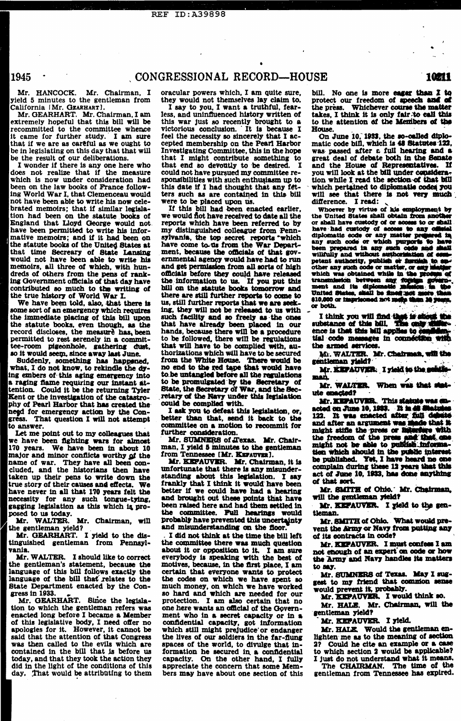# . . . :;,; ~ . .. . ' - REF ID:A39898

## 1945 . CONGRESSIONAL RECORD—HOUSE

Mr. HANCOCK. Mr. Chairman, I yield 5 minutes to the gentleman from California [Mr. GEARHART].

•

•

<sup>I</sup>wonder if there ls any one here who does not realize that if the measure which ls now under consideration had been on the law books of Prance following World War I. that Clemenceau would not have been able to write his now celebrated memoirs: that if similar legislation had been on the statute boots of England that Lloyd George would nothave been permitted to write his informative memoirs: and if it bad been on the statute books of the United States at that time Secreary of State Lansing would not have been able to write bla memoirs, all three of which, with hundreds of others from the pens of ranking Government officials of that day have contributed so much to the writing of the true history of World War I.

We have been told, also, that there is some sort of an emergency which requires the immediate placing of this bill upon the statute books, even though, as the record discloses, the measure has, been permitted to rest serenely in a committee-room pigeonhole, gathering dust, so it would seem, since away last June.

Suddenly, something has happened, what, I do not know, to rekindle the dying embers of this aging emergency into a raging flame requiring our instant attention. Could it be the returning Tyler Kent or the investigation of the catastrophy of Pearl Harbor that has created the need for emergency action by the Congress. That question I will not attempt

to answer.<br>Let me point out to my colleagues that we have been fighting wars for almost 170 years. We have been in about 10 major and minor conflicts worthy of the name of war. They have all been concluded, and the historians then have taken up their pens to write down the true story of their causes and effects. We have never in all that 170 years felt the necessity for any such tongue-tying, gagging legislation as this which is pro-<br>posed to us today.

Mr. GEARHART. Mr. Chairman.I am extremely hopeful that this bill will be recommitted to the committee whence it came for further study. I am sure that if we are as careful as we ought to be in legislating on this day that that will be the result of our deliberations.

Mr. WALTER. Mr. Chairman, will<br>
the gentleman yield? Mr. GEARHART. I yield to the distingulshed gentleman from Pennayl· vania.

Mr. WALTER. I should like to correct the gentleman's statement, becauae the language of this bill follows exactly the language of the bill that relates to the State Department enacted by the Congress in 1933.

Mr. GEARHART. Since the legislation to which the gentleman refers was enacted long before I became a Member of this legislative body, I need offer no apologies for it. However, it cannot be said that the attention of that Congress was then called to the evils which are contained in the bill that Js before us today, and that they took the action they did in the light of the conditions of this day. That would be attributing to them

Mr. KEPAUVER. I must confess I am not enough of an expert on code or how the 'Army' and Navy handles its matters<br>to say.

Mr. SUMNERS of Texas. May I suggest to my friend that common sense would prevent it, probably.

Mr. KEPAUVER. I would think so.

Mr. HALE. Mr. Chairman, will the gentleman yield?

Mr. KEFAUVER. I yield.

I say to you, I want a truthful, fearless, and uninfluenced history written of this war Just so recently brought to a victorious conclusion. · It la because I feel the necessity so sincerely that I accepted membership on the Pearl Harbor Investigating Committee, this in the hope that I might contribute something to that end so devoutly to be desired. I could not have pursued my committee responsibilities with such enthusiasm up to this date if I had thought that any  $fct$ ters such as are contained in th1& blU were to be placed upon us.

If this bill had been enacted earlier, we would flot have received to date all the reports which have been referred to by my distinguished colleague from Pennsylvania, the top secret reports \*which have come to us from the War Department, because the officials of that governmental ageney would have had to run and get permission from all sorts of high omcials before they could have released the information to us. If you put this bill on the statute books tomorrow and there are still further reports to come to us, still further reports that we are seeking, they will not be released to us with such facility and so freely as the ones that have already been placed in our hands, because there will be a procedure to be followed, there will be regulations that w1ll bave to be complied with, authorizations which will have to be secured from the White House. There would be no end to the red tape that would have to be untangled before all the regulations to be promulgated by the Secretary of<br>State, the Secretary of War, and the Secretary of the Navy under this legislation could be complied with.

I ask you to defeat this legislation, or, better than that, eend It back to the committee on a motion to reeommit for

Mr. SUMNERS of Texas. Mr. Chairman. I yield 5 minutes to the gentleman from Tennessee [Mr. KEFAUVER].

Mr. KEFAUVER. Mr. Chairman, it is unfortunate that there is any misunderstanding about this legislation. I say frankly that I think it would have been better if we could have had a hearing and brought out these points that have been raised here and had them settled in the committee. Pull hearings would probably have prevented this uncertainty and misunderstanding on the floor. I did not think at the time the bill left the committee there was much question about It or opposition to it. I am sure everybody is speaking with the best of motives, because, in the first place, I am certain that everyone wants to protect the codes on which we have spent so much money, on which we have worked ao hard and which are needed for our protection. I am also certain that no one here wants an official of the Government who in a secret capacity or in a confidential capacity, got information which still might prejudice' or endanger the lives of our soldiers in the far-flung spaces of the world, to divulge that in· formation he secured in a confidential capacity. On the other hand, I fully appreciate the concern that some Members may have about one section of this

SE 10211<br>bill. No one is more eager than 1 to protect our freedom of speech and of the press. Whichever course the matter takes, I think it is only fair to eall this to the attention of the Members of the<br>House.

 $\mathbf{Y} = \mathbf{y}_1 \mathbf{y}_2 \mathbf{y}_3$  . The set of the set of  $\mathbf{X}$  is the set of the set of the set of the set of the set of the set of the set of the set of the set of the set of the set of the set of the set of the set of

On June 10. 1933, the so-called diplomatic code bill, which is 48 Statutes 122. was passed after a full hearing and a great deal of debate both in the Senate and the House of Representatives. If<br>you will look at the bill under considerstion while I read the section-of that bill<br>which pertained to diplomatic codes you<br>will see that there is not very much which pertained to diplomatic codes you difference. I read:

Whoever by virtue of his employment by the United States shall obtain from anothe or shall have custody of or access to or shall have had custody of access to any official diplomatic code or any matter prepared in any such code or which purports to have diplomatic code or any matter prepared in any such code or which purports to have have had custody of access to any official<br>diplomatic code or any matter prepared in<br>any such code or which purports to have<br>been prepared in any such code and shall<br>willfully and without authorisation of com-<br>petent autho petent authority, publish or furnish to an-<br>other any such code or matter, or easy matter<br>which was obtained while in the product of which was obtained while in the process of transmission between any foreign governpetent authority, publish or furnish to sub-<br>other any such code or matter, or any matter<br>which was obtained while in the process of<br>transmission between any foreign govern-<br>ment and its diplomatic mission in the<br>United St transmission between any foreign govern-ment and its diplomatic mission in the United States, shall be fined not more than 410,000 or imprisoned not more than 10 years, or both.

United States, shall be fined not more than 110,000 or imprisoned not mole than 12 years, or both.<br>I think you will find that is about the substance of this bill. The only difference is that this bill applies to condition the armed services.

M. WALTER. Mr. Chairman, will the gentleman yield?

Mr. KEPAUVER. I yield to the senitie-<br>man.  $\begin{array}{c|c|c|c|c|c} \hline \textbf{1} & \textbf{1} & \textbf{1} & \textbf{1} & \textbf{1} & \textbf{1} & \textbf{1} & \textbf{1} & \textbf{1} & \textbf{1} & \textbf{1} & \textbf{1} & \textbf{1} & \textbf{1} & \textbf{1} & \textbf{1} & \textbf{1} & \textbf{1} & \textbf{1} & \textbf{1} & \textbf{1} & \textbf{1} & \textbf{1} & \textbf{1} & \textbf{1} & \textbf{1} & \textbf{1} & \textbf{1} & \textbf{$ 

Mr. WALTER. When was that stat-<br>ute enacted?

oracular powers which, I am quite sure, they would not themselves Jay claim to.

> ute enacted?<br>Mr. KEPAUVER. This statute was enacted on June 10, 1933. It is 48 Statutes 122. It was enacted after full debute and after an argument was made that it might stifle the press or interfare with the freedom of the press and that one might not be able to publish information which should in the public interest might not be able to publish informa-<br>tien which should in the public interest<br>be published. Yet, I have heard no one<br>complain during these 12 maps that this complain during these 12 years that this<br>complain during these 12 years that this<br>act of June 10, 1933, has done anything<br>of that seet. of that sort. act of Jane

Mr. SMITH of Obio.. Mr. Chairman.<br>will the gentleman yield?

Mr. KEPAUVER. I yield to the gen-<br>tleman.

Mr. SMITH of Ohio. What would pre-<br>vent the Army or Navy from putting any<br>of its contracts in code? of its contracts in code?

Mr. HALE. Would the gentleman enlighten me as to the meaning of section 2? Could he cite an example or a case to which section  $2$  would be applicable? I Just do not understand wbat it means.

The CHAIRMAN. The time of the gentleman from Tennessee has expired.